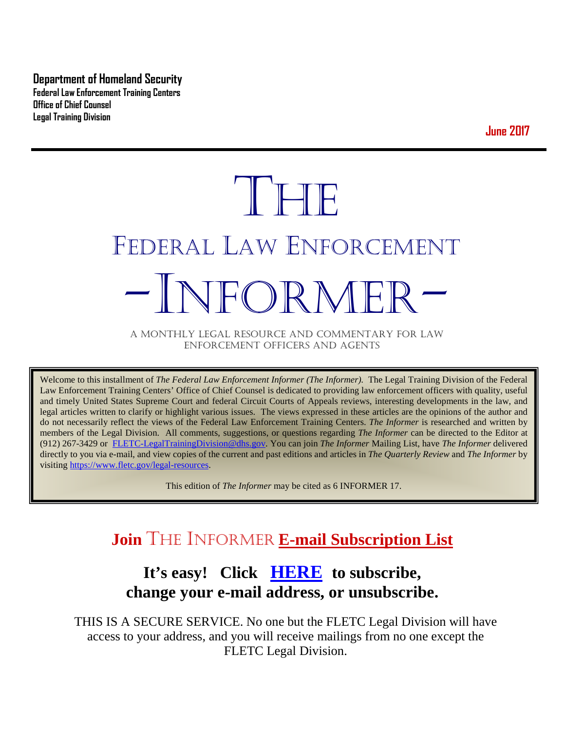**Department of Homeland Security Federal Law Enforcement Training Centers Office of Chief Counsel Legal Training Division** 

**June 2017**

# THE FEDERAL LAW ENFORCEMENT -INFORMER- A MONTHLY LEGAL RESOURCE AND COMMENTARY FOR LAW

ENFORCEMENT OFFICERS AND AGENTS

Welcome to this installment of *The Federal Law Enforcement Informer (The Informer).* The Legal Training Division of the Federal Law Enforcement Training Centers' Office of Chief Counsel is dedicated to providing law enforcement officers with quality, useful and timely United States Supreme Court and federal Circuit Courts of Appeals reviews, interesting developments in the law, and legal articles written to clarify or highlight various issues. The views expressed in these articles are the opinions of the author and do not necessarily reflect the views of the Federal Law Enforcement Training Centers. *The Informer* is researched and written by members of the Legal Division. All comments, suggestions, or questions regarding *The Informer* can be directed to the Editor at (912) 267-3429 or [FLETC-LegalTrainingDivision@dhs.gov.](mailto:FLETC-LegalTrainingDivision@dhs.gov) You can join *The Informer* Mailing List, have *The Informer* delivered directly to you via e-mail, and view copies of the current and past editions and articles in *The Quarterly Review* and *The Informer* by visiting [https://www.fletc.gov/legal-resources.](https://www.fletc.gov/legal-resources) 

This edition of *The Informer* may be cited as 6 INFORMER 17.

# **Join** THE INFORMER **E-mail Subscription List**

# **It's easy! Click [HERE](http://peach.ease.lsoft.com/scripts/wa.exe?SUBED1=fletclgd&A=1) to subscribe, change your e-mail address, or unsubscribe.**

THIS IS A SECURE SERVICE. No one but the FLETC Legal Division will have access to your address, and you will receive mailings from no one except the FLETC Legal Division.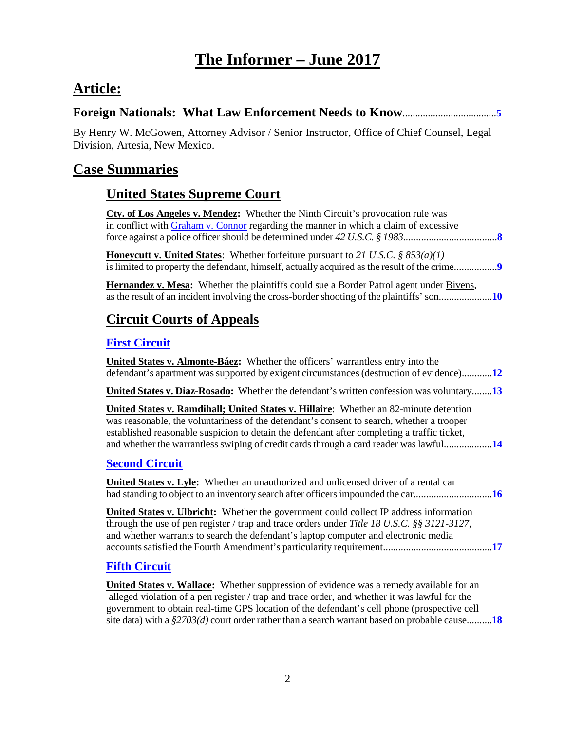# **The Informer – June <sup>2017</sup>**

# **Article:**

| By Henry W. McGowen, Attorney Advisor / Senior Instructor, Office of Chief Counsel, Legal<br>Division, Artesia, New Mexico.                                                                                                                                                                                                                                                        |
|------------------------------------------------------------------------------------------------------------------------------------------------------------------------------------------------------------------------------------------------------------------------------------------------------------------------------------------------------------------------------------|
| <b>Case Summaries</b>                                                                                                                                                                                                                                                                                                                                                              |
| <b>United States Supreme Court</b>                                                                                                                                                                                                                                                                                                                                                 |
| Cty. of Los Angeles v. Mendez: Whether the Ninth Circuit's provocation rule was<br>in conflict with <b>Graham v. Connor</b> regarding the manner in which a claim of excessive                                                                                                                                                                                                     |
| <b>Honeycutt v. United States:</b> Whether forfeiture pursuant to 21 U.S.C. § 853(a)(1)                                                                                                                                                                                                                                                                                            |
| <b>Hernandez v. Mesa:</b> Whether the plaintiffs could sue a Border Patrol agent under Bivens,                                                                                                                                                                                                                                                                                     |
| <b>Circuit Courts of Appeals</b>                                                                                                                                                                                                                                                                                                                                                   |
| <b>First Circuit</b>                                                                                                                                                                                                                                                                                                                                                               |
| United States v. Almonte-Báez: Whether the officers' warrantless entry into the<br>defendant's apartment was supported by exigent circumstances (destruction of evidence)12                                                                                                                                                                                                        |
| <b>United States v. Diaz-Rosado:</b> Whether the defendant's written confession was voluntary13                                                                                                                                                                                                                                                                                    |
| <b>United States v. Ramdihall; United States v. Hillaire:</b> Whether an 82-minute detention<br>was reasonable, the voluntariness of the defendant's consent to search, whether a trooper<br>established reasonable suspicion to detain the defendant after completing a traffic ticket,<br>and whether the warrantless swiping of credit cards through a card reader was lawful14 |
| <b>Second Circuit</b>                                                                                                                                                                                                                                                                                                                                                              |
| <b>United States v. Lyle:</b> Whether an unauthorized and unlicensed driver of a rental car                                                                                                                                                                                                                                                                                        |
| <b>United States v. Ulbricht:</b> Whether the government could collect IP address information<br>through the use of pen register / trap and trace orders under Title 18 U.S.C. $\S$ \$ 3121-3127,<br>and whether warrants to search the defendant's laptop computer and electronic media                                                                                           |
| <b>Fifth Circuit</b>                                                                                                                                                                                                                                                                                                                                                               |
| <b>United States v. Wallace:</b> Whether suppression of evidence was a remedy available for an<br>alleged violation of a pen register / trap and trace order, and whether it was lawful for the                                                                                                                                                                                    |

government to obtain real-time GPS location of the defendant's cell phone (prospective cell site data) with a *§2703(d)* court order rather than a search warrant based on probable cause..........**[18](#page-17-1)**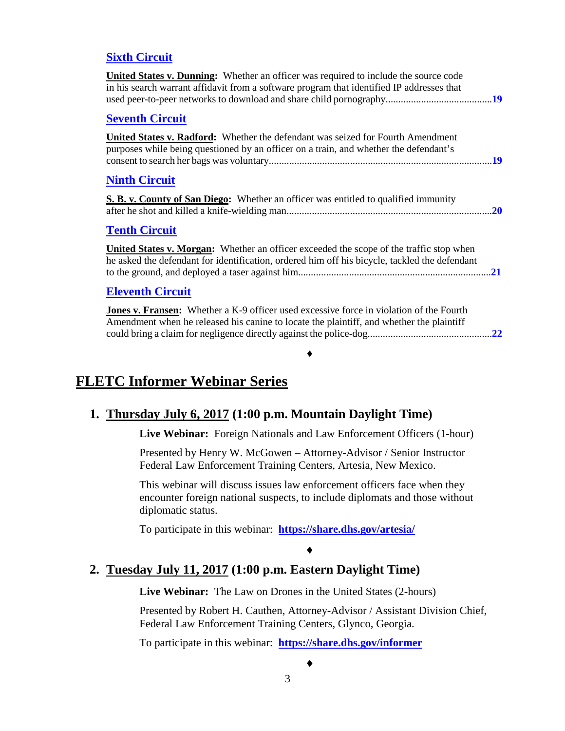#### **[Sixth Circuit](#page-18-0)**

| <b>United States v. Dunning:</b> Whether an officer was required to include the source code<br>in his search warrant affidavit from a software program that identified IP addresses that |
|------------------------------------------------------------------------------------------------------------------------------------------------------------------------------------------|
| <b>Seventh Circuit</b>                                                                                                                                                                   |
| <b>United States v. Radford:</b> Whether the defendant was seized for Fourth Amendment<br>purposes while being questioned by an officer on a train, and whether the defendant's          |
| <b>Ninth Circuit</b>                                                                                                                                                                     |
| <b>S. B. v. County of San Diego:</b> Whether an officer was entitled to qualified immunity                                                                                               |
| <b>Tenth Circuit</b>                                                                                                                                                                     |
| United States v. Morgan: Whether an officer exceeded the scope of the traffic stop when<br>he asked the defendant for identification, ordered him off his bicycle, tackled the defendant |
| <b>Eleventh Circuit</b>                                                                                                                                                                  |
| Jones v. Fransen: Whether a K-9 officer used excessive force in violation of the Fourth<br>Amendment when he released his canine to locate the plaintiff, and whether the plaintiff      |
| $\bullet$ $\bullet$                                                                                                                                                                      |

#### **FLETC Informer Webinar Series**

#### **1. Thursday July 6, 2017 (1:00 p.m. Mountain Daylight Time)**

**Live Webinar:** Foreign Nationals and Law Enforcement Officers (1-hour)

Presented by Henry W. McGowen – Attorney-Advisor / Senior Instructor Federal Law Enforcement Training Centers, Artesia, New Mexico.

This webinar will discuss issues law enforcement officers face when they encounter foreign national suspects, to include diplomats and those without diplomatic status.

To participate in this webinar: **<https://share.dhs.gov/artesia/>**

#### ♦

#### **2. Tuesday July 11, 2017 (1:00 p.m. Eastern Daylight Time)**

**Live Webinar:** The Law on Drones in the United States (2-hours)

Presented by Robert H. Cauthen, Attorney-Advisor / Assistant Division Chief, Federal Law Enforcement Training Centers, Glynco, Georgia.

♦

To participate in this webinar: **<https://share.dhs.gov/informer>**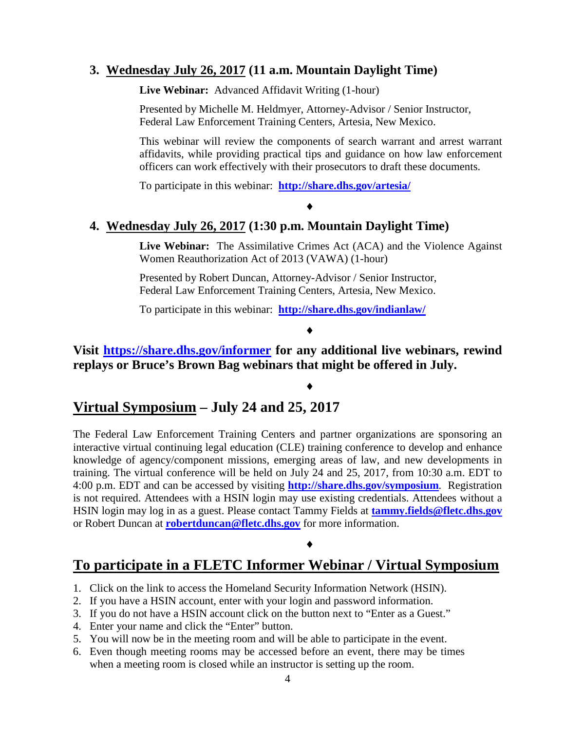#### **3. Wednesday July 26, 2017 (11 a.m. Mountain Daylight Time)**

**Live Webinar:** Advanced Affidavit Writing (1-hour)

Presented by Michelle M. Heldmyer, Attorney-Advisor / Senior Instructor, Federal Law Enforcement Training Centers, Artesia, New Mexico.

This webinar will review the components of search warrant and arrest warrant affidavits, while providing practical tips and guidance on how law enforcement officers can work effectively with their prosecutors to draft these documents.

To participate in this webinar: **<http://share.dhs.gov/artesia/>**

#### **4. Wednesday July 26, 2017 (1:30 p.m. Mountain Daylight Time)**

**Live Webinar:** The Assimilative Crimes Act (ACA) and the Violence Against Women Reauthorization Act of 2013 (VAWA) (1-hour)

♦

Presented by Robert Duncan, Attorney-Advisor / Senior Instructor, Federal Law Enforcement Training Centers, Artesia, New Mexico.

To participate in this webinar: **<http://share.dhs.gov/indianlaw/>**

#### ♦

♦

#### **Visit<https://share.dhs.gov/informer> for any additional live webinars, rewind replays or Bruce's Brown Bag webinars that might be offered in July.**

## **Virtual Symposium – July 24 and 25, 2017**

The Federal Law Enforcement Training Centers and partner organizations are sponsoring an interactive virtual continuing legal education (CLE) training conference to develop and enhance knowledge of agency/component missions, emerging areas of law, and new developments in training. The virtual conference will be held on July 24 and 25, 2017, from 10:30 a.m. EDT to 4:00 p.m. EDT and can be accessed by visiting **<http://share.dhs.gov/symposium>**. Registration is not required. Attendees with a HSIN login may use existing credentials. Attendees without a HSIN login may log in as a guest. Please contact Tammy Fields at **[tammy.fields@fletc.dhs.gov](mailto:tammy.fields@fletc.dhs.gov)** or Robert Duncan at **[robertduncan@fletc.dhs.gov](mailto:robertduncan@fletc.dhs.gov)** for more information.

#### ♦

## **To participate in a FLETC Informer Webinar / Virtual Symposium**

- 1. Click on the link to access the Homeland Security Information Network (HSIN).
- 2. If you have a HSIN account, enter with your login and password information.
- 3. If you do not have a HSIN account click on the button next to "Enter as a Guest."
- 4. Enter your name and click the "Enter" button.
- 5. You will now be in the meeting room and will be able to participate in the event.
- 6. Even though meeting rooms may be accessed before an event, there may be times when a meeting room is closed while an instructor is setting up the room.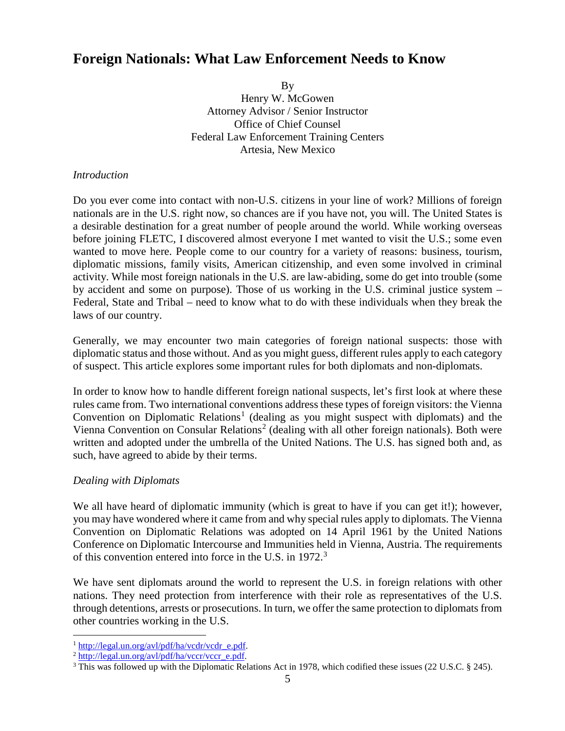## <span id="page-4-0"></span>**Foreign Nationals: What Law Enforcement Needs to Know**

By

Henry W. McGowen Attorney Advisor / Senior Instructor Office of Chief Counsel Federal Law Enforcement Training Centers Artesia, New Mexico

#### *Introduction*

Do you ever come into contact with non-U.S. citizens in your line of work? Millions of foreign nationals are in the U.S. right now, so chances are if you have not, you will. The United States is a desirable destination for a great number of people around the world. While working overseas before joining FLETC, I discovered almost everyone I met wanted to visit the U.S.; some even wanted to move here. People come to our country for a variety of reasons: business, tourism, diplomatic missions, family visits, American citizenship, and even some involved in criminal activity. While most foreign nationals in the U.S. are law-abiding, some do get into trouble (some by accident and some on purpose). Those of us working in the U.S. criminal justice system – Federal, State and Tribal – need to know what to do with these individuals when they break the laws of our country.

Generally, we may encounter two main categories of foreign national suspects: those with diplomatic status and those without. And as you might guess, different rules apply to each category of suspect. This article explores some important rules for both diplomats and non-diplomats.

In order to know how to handle different foreign national suspects, let's first look at where these rules came from. Two international conventions address these types of foreign visitors: the Vienna Convention on Diplomatic Relations<sup>[1](#page-4-1)</sup> (dealing as you might suspect with diplomats) and the Vienna Convention on Consular Relations<sup>[2](#page-4-2)</sup> (dealing with all other foreign nationals). Both were written and adopted under the umbrella of the United Nations. The U.S. has signed both and, as such, have agreed to abide by their terms.

#### *Dealing with Diplomats*

We all have heard of diplomatic immunity (which is great to have if you can get it!); however, you may have wondered where it came from and why special rules apply to diplomats. The Vienna Convention on Diplomatic Relations was adopted on 14 April 1961 by the United Nations Conference on Diplomatic Intercourse and Immunities held in Vienna, Austria. The requirements of this convention entered into force in the U.S. in 1972.<sup>[3](#page-4-3)</sup>

We have sent diplomats around the world to represent the U.S. in foreign relations with other nations. They need protection from interference with their role as representatives of the U.S. through detentions, arrests or prosecutions. In turn, we offer the same protection to diplomats from other countries working in the U.S.

<span id="page-4-1"></span>

<span id="page-4-3"></span><span id="page-4-2"></span>

<sup>&</sup>lt;sup>1</sup> [http://legal.un.org/avl/pdf/ha/vcdr/vcdr\\_e.pdf.](http://legal.un.org/avl/pdf/ha/vcdr/vcdr_e.pdf) <sup>2</sup> [http://legal.un.org/avl/pdf/ha/vccr/vccr\\_e.pdf.](http://legal.un.org/avl/pdf/ha/vccr/vccr_e.pdf) <sup>3</sup> This was followed up with the Diplomatic Relations Act in 1978, which codified these issues (22 U.S.C. § 245).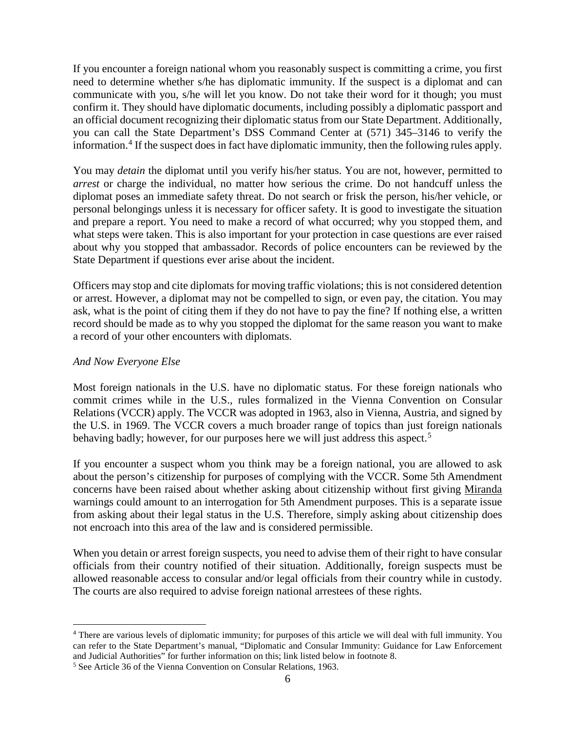If you encounter a foreign national whom you reasonably suspect is committing a crime, you first need to determine whether s/he has diplomatic immunity. If the suspect is a diplomat and can communicate with you, s/he will let you know. Do not take their word for it though; you must confirm it. They should have diplomatic documents, including possibly a diplomatic passport and an official document recognizing their diplomatic status from our State Department. Additionally, you can call the State Department's DSS Command Center at (571) 345–3146 to verify the information.<sup>[4](#page-5-0)</sup> If the suspect does in fact have diplomatic immunity, then the following rules apply.

You may *detain* the diplomat until you verify his/her status. You are not, however, permitted to *arrest* or charge the individual, no matter how serious the crime. Do not handcuff unless the diplomat poses an immediate safety threat. Do not search or frisk the person, his/her vehicle, or personal belongings unless it is necessary for officer safety. It is good to investigate the situation and prepare a report. You need to make a record of what occurred; why you stopped them, and what steps were taken. This is also important for your protection in case questions are ever raised about why you stopped that ambassador. Records of police encounters can be reviewed by the State Department if questions ever arise about the incident.

Officers may stop and cite diplomats for moving traffic violations; this is not considered detention or arrest. However, a diplomat may not be compelled to sign, or even pay, the citation. You may ask, what is the point of citing them if they do not have to pay the fine? If nothing else, a written record should be made as to why you stopped the diplomat for the same reason you want to make a record of your other encounters with diplomats.

#### *And Now Everyone Else*

Most foreign nationals in the U.S. have no diplomatic status. For these foreign nationals who commit crimes while in the U.S., rules formalized in the Vienna Convention on Consular Relations (VCCR) apply. The VCCR was adopted in 1963, also in Vienna, Austria, and signed by the U.S. in 1969. The VCCR covers a much broader range of topics than just foreign nationals behaving badly; however, for our purposes here we will just address this aspect.<sup>[5](#page-5-1)</sup>

If you encounter a suspect whom you think may be a foreign national, you are allowed to ask about the person's citizenship for purposes of complying with the VCCR. Some 5th Amendment concerns have been raised about whether asking about citizenship without first giving Miranda warnings could amount to an interrogation for 5th Amendment purposes. This is a separate issue from asking about their legal status in the U.S. Therefore, simply asking about citizenship does not encroach into this area of the law and is considered permissible.

When you detain or arrest foreign suspects, you need to advise them of their right to have consular officials from their country notified of their situation. Additionally, foreign suspects must be allowed reasonable access to consular and/or legal officials from their country while in custody. The courts are also required to advise foreign national arrestees of these rights.

<span id="page-5-0"></span><sup>&</sup>lt;sup>4</sup> There are various levels of diplomatic immunity; for purposes of this article we will deal with full immunity. You can refer to the State Department's manual, "Diplomatic and Consular Immunity: Guidance for Law Enforcement and Judicial Authorities" for further information on this; link listed below in footnote 8.

<span id="page-5-1"></span><sup>5</sup> See Article 36 of the Vienna Convention on Consular Relations, 1963.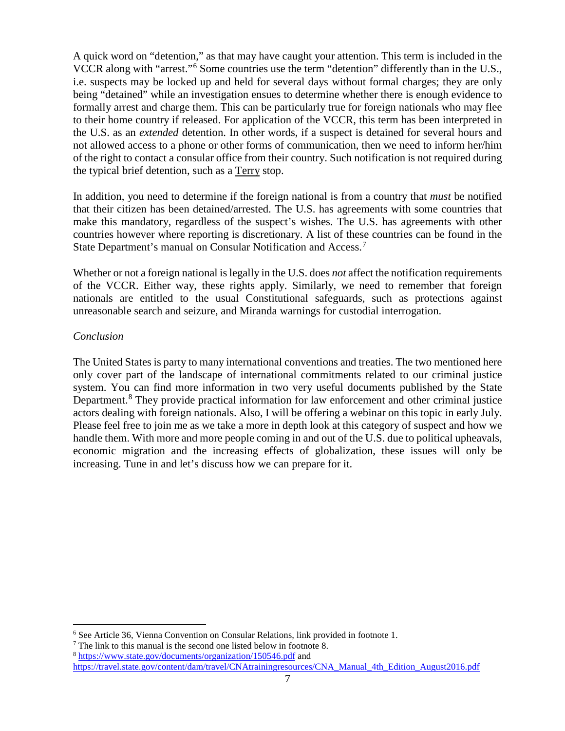A quick word on "detention," as that may have caught your attention. This term is included in the VCCR along with "arrest."[6](#page-6-0) Some countries use the term "detention" differently than in the U.S., i.e. suspects may be locked up and held for several days without formal charges; they are only being "detained" while an investigation ensues to determine whether there is enough evidence to formally arrest and charge them. This can be particularly true for foreign nationals who may flee to their home country if released. For application of the VCCR, this term has been interpreted in the U.S. as an *extended* detention. In other words, if a suspect is detained for several hours and not allowed access to a phone or other forms of communication, then we need to inform her/him of the right to contact a consular office from their country. Such notification is not required during the typical brief detention, such as a Terry stop.

In addition, you need to determine if the foreign national is from a country that *must* be notified that their citizen has been detained/arrested. The U.S. has agreements with some countries that make this mandatory, regardless of the suspect's wishes. The U.S. has agreements with other countries however where reporting is discretionary. A list of these countries can be found in the State Department's manual on Consular Notification and Access.<sup>[7](#page-6-1)</sup>

Whether or not a foreign national is legally in the U.S. does *not* affect the notification requirements of the VCCR. Either way, these rights apply. Similarly, we need to remember that foreign nationals are entitled to the usual Constitutional safeguards, such as protections against unreasonable search and seizure, and Miranda warnings for custodial interrogation.

#### *Conclusion*

The United States is party to many international conventions and treaties. The two mentioned here only cover part of the landscape of international commitments related to our criminal justice system. You can find more information in two very useful documents published by the State Department.<sup>[8](#page-6-2)</sup> They provide practical information for law enforcement and other criminal justice actors dealing with foreign nationals. Also, I will be offering a webinar on this topic in early July. Please feel free to join me as we take a more in depth look at this category of suspect and how we handle them. With more and more people coming in and out of the U.S. due to political upheavals, economic migration and the increasing effects of globalization, these issues will only be increasing. Tune in and let's discuss how we can prepare for it.

<span id="page-6-0"></span> <sup>6</sup> See Article 36, Vienna Convention on Consular Relations, link provided in footnote 1.

<span id="page-6-1"></span> $7$  The link to this manual is the second one listed below in footnote 8.

<span id="page-6-2"></span><sup>8</sup> <https://www.state.gov/documents/organization/150546.pdf> and [https://travel.state.gov/content/dam/travel/CNAtrainingresources/CNA\\_Manual\\_4th\\_Edition\\_August2016.pdf](https://travel.state.gov/content/dam/travel/CNAtrainingresources/CNA_Manual_4th_Edition_August2016.pdf)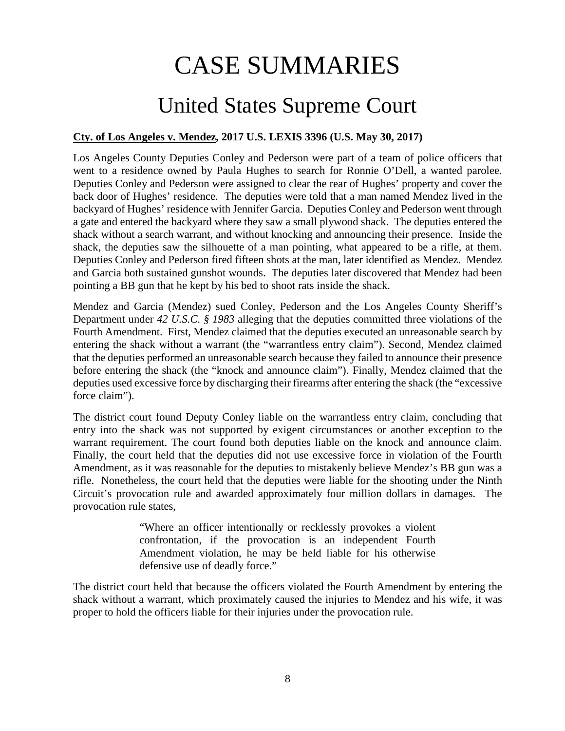# CASE SUMMARIES

# United States Supreme Court

#### <span id="page-7-1"></span><span id="page-7-0"></span>**Cty. of Los Angeles v. Mendez, 2017 U.S. LEXIS 3396 (U.S. May 30, 2017)**

Los Angeles County Deputies Conley and Pederson were part of a team of police officers that went to a residence owned by Paula Hughes to search for Ronnie O'Dell, a wanted parolee. Deputies Conley and Pederson were assigned to clear the rear of Hughes' property and cover the back door of Hughes' residence. The deputies were told that a man named Mendez lived in the backyard of Hughes' residence with Jennifer Garcia. Deputies Conley and Pederson went through a gate and entered the backyard where they saw a small plywood shack. The deputies entered the shack without a search warrant, and without knocking and announcing their presence. Inside the shack, the deputies saw the silhouette of a man pointing, what appeared to be a rifle, at them. Deputies Conley and Pederson fired fifteen shots at the man, later identified as Mendez. Mendez and Garcia both sustained gunshot wounds. The deputies later discovered that Mendez had been pointing a BB gun that he kept by his bed to shoot rats inside the shack.

Mendez and Garcia (Mendez) sued Conley, Pederson and the Los Angeles County Sheriff's Department under *42 U.S.C. § 1983* alleging that the deputies committed three violations of the Fourth Amendment. First, Mendez claimed that the deputies executed an unreasonable search by entering the shack without a warrant (the "warrantless entry claim"). Second, Mendez claimed that the deputies performed an unreasonable search because they failed to announce their presence before entering the shack (the "knock and announce claim"). Finally, Mendez claimed that the deputies used excessive force by discharging their firearms after entering the shack (the "excessive force claim").

The district court found Deputy Conley liable on the warrantless entry claim, concluding that entry into the shack was not supported by exigent circumstances or another exception to the warrant requirement. The court found both deputies liable on the knock and announce claim. Finally, the court held that the deputies did not use excessive force in violation of the Fourth Amendment, as it was reasonable for the deputies to mistakenly believe Mendez's BB gun was a rifle. Nonetheless, the court held that the deputies were liable for the shooting under the Ninth Circuit's provocation rule and awarded approximately four million dollars in damages. The provocation rule states,

> "Where an officer intentionally or recklessly provokes a violent confrontation, if the provocation is an independent Fourth Amendment violation, he may be held liable for his otherwise defensive use of deadly force."

The district court held that because the officers violated the Fourth Amendment by entering the shack without a warrant, which proximately caused the injuries to Mendez and his wife, it was proper to hold the officers liable for their injuries under the provocation rule.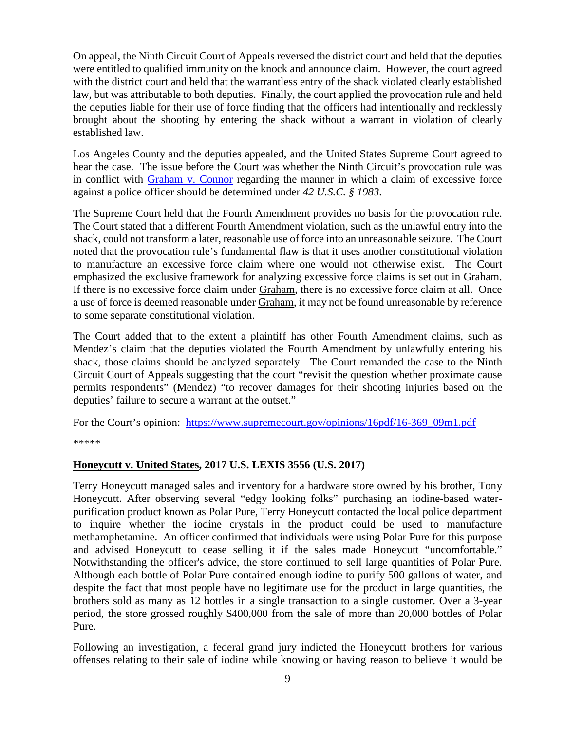On appeal, the Ninth Circuit Court of Appeals reversed the district court and held that the deputies were entitled to qualified immunity on the knock and announce claim. However, the court agreed with the district court and held that the warrantless entry of the shack violated clearly established law, but was attributable to both deputies. Finally, the court applied the provocation rule and held the deputies liable for their use of force finding that the officers had intentionally and recklessly brought about the shooting by entering the shack without a warrant in violation of clearly established law.

Los Angeles County and the deputies appealed, and the United States Supreme Court agreed to hear the case. The issue before the Court was whether the Ninth Circuit's provocation rule was in conflict with [Graham v. Connor](https://supreme.justia.com/cases/federal/us/490/386/case.html) regarding the manner in which a claim of excessive force against a police officer should be determined under *42 U.S.C. § 1983*.

The Supreme Court held that the Fourth Amendment provides no basis for the provocation rule. The Court stated that a different Fourth Amendment violation, such as the unlawful entry into the shack, could not transform a later, reasonable use of force into an unreasonable seizure. The Court noted that the provocation rule's fundamental flaw is that it uses another constitutional violation to manufacture an excessive force claim where one would not otherwise exist. The Court emphasized the exclusive framework for analyzing excessive force claims is set out in Graham. If there is no excessive force claim under Graham, there is no excessive force claim at all. Once a use of force is deemed reasonable under Graham, it may not be found unreasonable by reference to some separate constitutional violation.

The Court added that to the extent a plaintiff has other Fourth Amendment claims, such as Mendez's claim that the deputies violated the Fourth Amendment by unlawfully entering his shack, those claims should be analyzed separately. The Court remanded the case to the Ninth Circuit Court of Appeals suggesting that the court "revisit the question whether proximate cause permits respondents" (Mendez) "to recover damages for their shooting injuries based on the deputies' failure to secure a warrant at the outset."

For the Court's opinion: [https://www.supremecourt.gov/opinions/16pdf/16-369\\_09m1.pdf](https://www.supremecourt.gov/opinions/16pdf/16-369_09m1.pdf)

\*\*\*\*\*

#### <span id="page-8-0"></span>**Honeycutt v. United States, 2017 U.S. LEXIS 3556 (U.S. 2017)**

Terry Honeycutt managed sales and inventory for a hardware store owned by his brother, Tony Honeycutt. After observing several "edgy looking folks" purchasing an iodine-based waterpurification product known as Polar Pure, Terry Honeycutt contacted the local police department to inquire whether the iodine crystals in the product could be used to manufacture methamphetamine. An officer confirmed that individuals were using Polar Pure for this purpose and advised Honeycutt to cease selling it if the sales made Honeycutt "uncomfortable." Notwithstanding the officer's advice, the store continued to sell large quantities of Polar Pure. Although each bottle of Polar Pure contained enough iodine to purify 500 gallons of water, and despite the fact that most people have no legitimate use for the product in large quantities, the brothers sold as many as 12 bottles in a single transaction to a single customer. Over a 3-year period, the store grossed roughly \$400,000 from the sale of more than 20,000 bottles of Polar Pure.

Following an investigation, a federal grand jury indicted the Honeycutt brothers for various offenses relating to their sale of iodine while knowing or having reason to believe it would be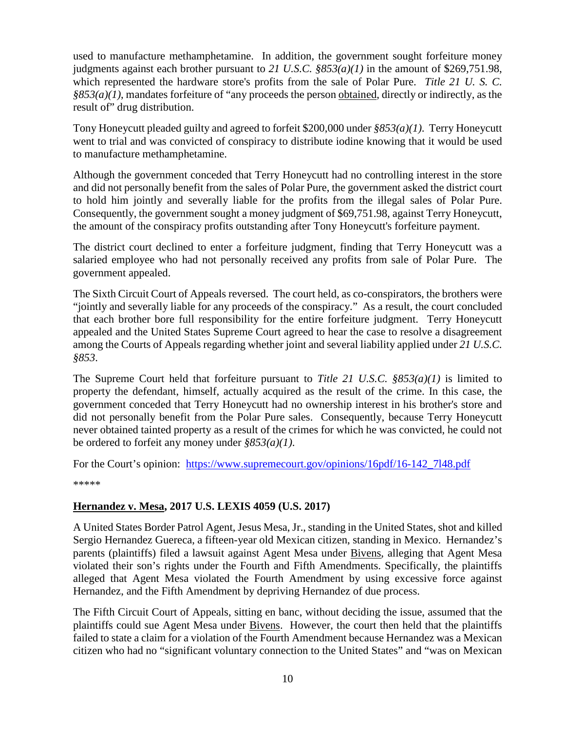used to manufacture methamphetamine. In addition, the government sought forfeiture money judgments against each brother pursuant to *21 U.S.C. §853(a)(1)* in the amount of \$269,751.98, which represented the hardware store's profits from the sale of Polar Pure. *Title 21 U. S. C. §853(a)(1)*, mandates forfeiture of "any proceeds the person obtained, directly or indirectly, as the result of" drug distribution.

Tony Honeycutt pleaded guilty and agreed to forfeit \$200,000 under *§853(a)(1)*. Terry Honeycutt went to trial and was convicted of conspiracy to distribute iodine knowing that it would be used to manufacture methamphetamine.

Although the government conceded that Terry Honeycutt had no controlling interest in the store and did not personally benefit from the sales of Polar Pure, the government asked the district court to hold him jointly and severally liable for the profits from the illegal sales of Polar Pure. Consequently, the government sought a money judgment of \$69,751.98, against Terry Honeycutt, the amount of the conspiracy profits outstanding after Tony Honeycutt's forfeiture payment.

The district court declined to enter a forfeiture judgment, finding that Terry Honeycutt was a salaried employee who had not personally received any profits from sale of Polar Pure. The government appealed.

The Sixth Circuit Court of Appeals reversed. The court held, as co-conspirators, the brothers were "jointly and severally liable for any proceeds of the conspiracy." As a result, the court concluded that each brother bore full responsibility for the entire forfeiture judgment. Terry Honeycutt appealed and the United States Supreme Court agreed to hear the case to resolve a disagreement among the Courts of Appeals regarding whether joint and several liability applied under *21 U.S.C. §853*.

The Supreme Court held that forfeiture pursuant to *Title 21 U.S.C. §853(a)(1)* is limited to property the defendant, himself, actually acquired as the result of the crime. In this case, the government conceded that Terry Honeycutt had no ownership interest in his brother's store and did not personally benefit from the Polar Pure sales. Consequently, because Terry Honeycutt never obtained tainted property as a result of the crimes for which he was convicted, he could not be ordered to forfeit any money under *§853(a)(1)*.

For the Court's opinion: https://www.supremecourt.gov/opinions/16pdf/16-142 7148.pdf

\*\*\*\*\*

#### <span id="page-9-0"></span>**Hernandez v. Mesa, 2017 U.S. LEXIS 4059 (U.S. 2017)**

A United States Border Patrol Agent, Jesus Mesa, Jr., standing in the United States, shot and killed Sergio Hernandez Guereca, a fifteen-year old Mexican citizen, standing in Mexico. Hernandez's parents (plaintiffs) filed a lawsuit against Agent Mesa under Bivens, alleging that Agent Mesa violated their son's rights under the Fourth and Fifth Amendments. Specifically, the plaintiffs alleged that Agent Mesa violated the Fourth Amendment by using excessive force against Hernandez, and the Fifth Amendment by depriving Hernandez of due process.

The Fifth Circuit Court of Appeals, sitting en banc, without deciding the issue, assumed that the plaintiffs could sue Agent Mesa under Bivens. However, the court then held that the plaintiffs failed to state a claim for a violation of the Fourth Amendment because Hernandez was a Mexican citizen who had no "significant voluntary connection to the United States" and "was on Mexican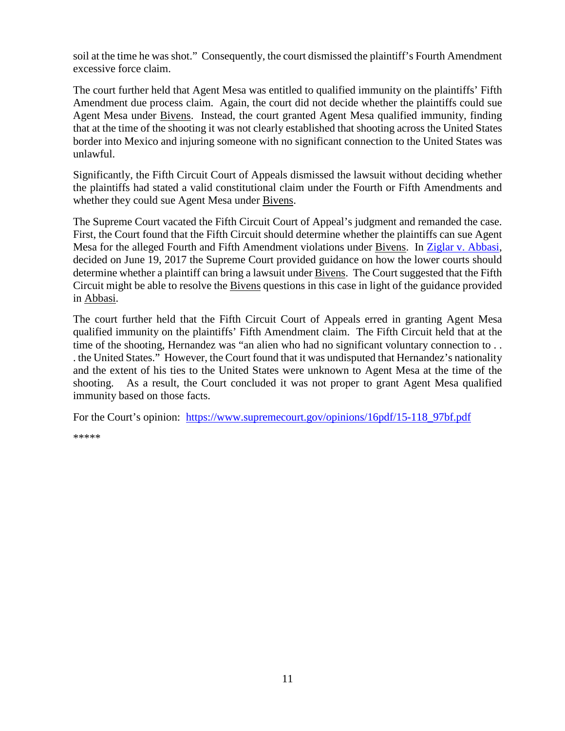soil at the time he was shot." Consequently, the court dismissed the plaintiff's Fourth Amendment excessive force claim.

The court further held that Agent Mesa was entitled to qualified immunity on the plaintiffs' Fifth Amendment due process claim. Again, the court did not decide whether the plaintiffs could sue Agent Mesa under Bivens. Instead, the court granted Agent Mesa qualified immunity, finding that at the time of the shooting it was not clearly established that shooting across the United States border into Mexico and injuring someone with no significant connection to the United States was unlawful.

Significantly, the Fifth Circuit Court of Appeals dismissed the lawsuit without deciding whether the plaintiffs had stated a valid constitutional claim under the Fourth or Fifth Amendments and whether they could sue Agent Mesa under Bivens.

The Supreme Court vacated the Fifth Circuit Court of Appeal's judgment and remanded the case. First, the Court found that the Fifth Circuit should determine whether the plaintiffs can sue Agent Mesa for the alleged Fourth and Fifth Amendment violations under Bivens. In [Ziglar v. Abbasi,](https://www.supremecourt.gov/opinions/16pdf/15-1358_6khn.pdf) decided on June 19, 2017 the Supreme Court provided guidance on how the lower courts should determine whether a plaintiff can bring a lawsuit under Bivens. The Court suggested that the Fifth Circuit might be able to resolve the Bivens questions in this case in light of the guidance provided in Abbasi.

The court further held that the Fifth Circuit Court of Appeals erred in granting Agent Mesa qualified immunity on the plaintiffs' Fifth Amendment claim. The Fifth Circuit held that at the time of the shooting, Hernandez was "an alien who had no significant voluntary connection to... . the United States." However, the Court found that it was undisputed that Hernandez's nationality and the extent of his ties to the United States were unknown to Agent Mesa at the time of the shooting. As a result, the Court concluded it was not proper to grant Agent Mesa qualified immunity based on those facts.

For the Court's opinion: [https://www.supremecourt.gov/opinions/16pdf/15-118\\_97bf.pdf](https://www.supremecourt.gov/opinions/16pdf/15-118_97bf.pdf)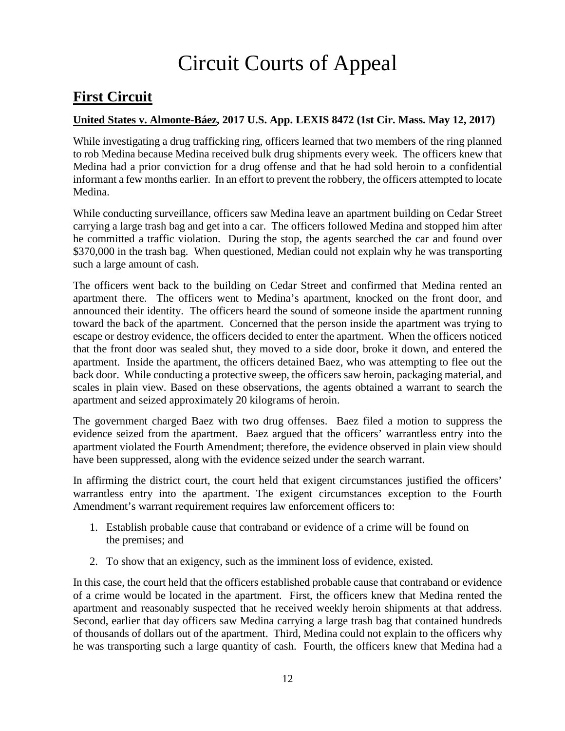# Circuit Courts of Appeal

# <span id="page-11-0"></span>**First Circuit**

#### <span id="page-11-1"></span>**United States v. Almonte-Báez, 2017 U.S. App. LEXIS 8472 (1st Cir. Mass. May 12, 2017)**

While investigating a drug trafficking ring, officers learned that two members of the ring planned to rob Medina because Medina received bulk drug shipments every week. The officers knew that Medina had a prior conviction for a drug offense and that he had sold heroin to a confidential informant a few months earlier. In an effort to prevent the robbery, the officers attempted to locate Medina.

While conducting surveillance, officers saw Medina leave an apartment building on Cedar Street carrying a large trash bag and get into a car. The officers followed Medina and stopped him after he committed a traffic violation. During the stop, the agents searched the car and found over \$370,000 in the trash bag. When questioned, Median could not explain why he was transporting such a large amount of cash.

The officers went back to the building on Cedar Street and confirmed that Medina rented an apartment there. The officers went to Medina's apartment, knocked on the front door, and announced their identity. The officers heard the sound of someone inside the apartment running toward the back of the apartment. Concerned that the person inside the apartment was trying to escape or destroy evidence, the officers decided to enter the apartment. When the officers noticed that the front door was sealed shut, they moved to a side door, broke it down, and entered the apartment. Inside the apartment, the officers detained Baez, who was attempting to flee out the back door. While conducting a protective sweep, the officers saw heroin, packaging material, and scales in plain view. Based on these observations, the agents obtained a warrant to search the apartment and seized approximately 20 kilograms of heroin.

The government charged Baez with two drug offenses. Baez filed a motion to suppress the evidence seized from the apartment. Baez argued that the officers' warrantless entry into the apartment violated the Fourth Amendment; therefore, the evidence observed in plain view should have been suppressed, along with the evidence seized under the search warrant.

In affirming the district court, the court held that exigent circumstances justified the officers' warrantless entry into the apartment. The exigent circumstances exception to the Fourth Amendment's warrant requirement requires law enforcement officers to:

- 1. Establish probable cause that contraband or evidence of a crime will be found on the premises; and
- 2. To show that an exigency, such as the imminent loss of evidence, existed.

In this case, the court held that the officers established probable cause that contraband or evidence of a crime would be located in the apartment. First, the officers knew that Medina rented the apartment and reasonably suspected that he received weekly heroin shipments at that address. Second, earlier that day officers saw Medina carrying a large trash bag that contained hundreds of thousands of dollars out of the apartment. Third, Medina could not explain to the officers why he was transporting such a large quantity of cash. Fourth, the officers knew that Medina had a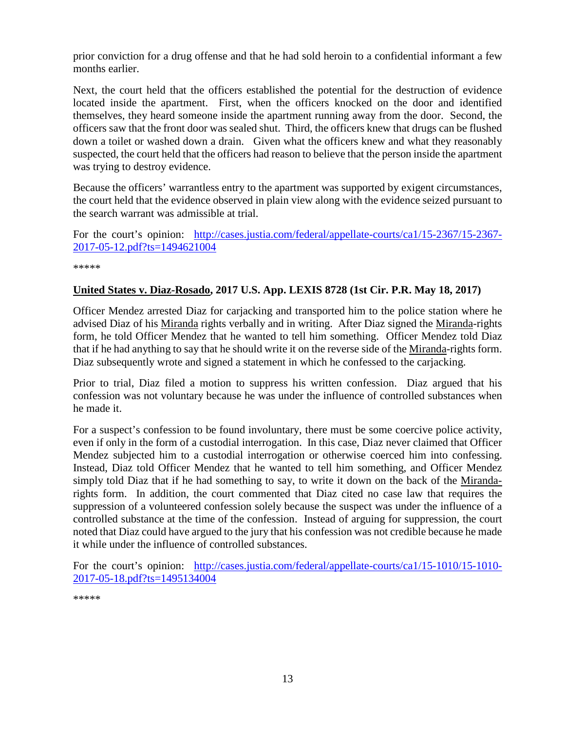prior conviction for a drug offense and that he had sold heroin to a confidential informant a few months earlier.

Next, the court held that the officers established the potential for the destruction of evidence located inside the apartment. First, when the officers knocked on the door and identified themselves, they heard someone inside the apartment running away from the door. Second, the officers saw that the front door was sealed shut. Third, the officers knew that drugs can be flushed down a toilet or washed down a drain. Given what the officers knew and what they reasonably suspected, the court held that the officers had reason to believe that the person inside the apartment was trying to destroy evidence.

Because the officers' warrantless entry to the apartment was supported by exigent circumstances, the court held that the evidence observed in plain view along with the evidence seized pursuant to the search warrant was admissible at trial.

For the court's opinion: [http://cases.justia.com/federal/appellate-courts/ca1/15-2367/15-2367-](http://cases.justia.com/federal/appellate-courts/ca1/15-2367/15-2367-2017-05-12.pdf?ts=1494621004) [2017-05-12.pdf?ts=1494621004](http://cases.justia.com/federal/appellate-courts/ca1/15-2367/15-2367-2017-05-12.pdf?ts=1494621004)

\*\*\*\*\*

#### <span id="page-12-0"></span>**United States v. Diaz-Rosado, 2017 U.S. App. LEXIS 8728 (1st Cir. P.R. May 18, 2017)**

Officer Mendez arrested Diaz for carjacking and transported him to the police station where he advised Diaz of his Miranda rights verbally and in writing. After Diaz signed the Miranda-rights form, he told Officer Mendez that he wanted to tell him something. Officer Mendez told Diaz that if he had anything to say that he should write it on the reverse side of the Miranda-rights form. Diaz subsequently wrote and signed a statement in which he confessed to the carjacking.

Prior to trial, Diaz filed a motion to suppress his written confession. Diaz argued that his confession was not voluntary because he was under the influence of controlled substances when he made it.

For a suspect's confession to be found involuntary, there must be some coercive police activity, even if only in the form of a custodial interrogation. In this case, Diaz never claimed that Officer Mendez subjected him to a custodial interrogation or otherwise coerced him into confessing. Instead, Diaz told Officer Mendez that he wanted to tell him something, and Officer Mendez simply told Diaz that if he had something to say, to write it down on the back of the Mirandarights form. In addition, the court commented that Diaz cited no case law that requires the suppression of a volunteered confession solely because the suspect was under the influence of a controlled substance at the time of the confession. Instead of arguing for suppression, the court noted that Diaz could have argued to the jury that his confession was not credible because he made it while under the influence of controlled substances.

For the court's opinion: [http://cases.justia.com/federal/appellate-courts/ca1/15-1010/15-1010-](http://cases.justia.com/federal/appellate-courts/ca1/15-1010/15-1010-2017-05-18.pdf?ts=1495134004) [2017-05-18.pdf?ts=1495134004](http://cases.justia.com/federal/appellate-courts/ca1/15-1010/15-1010-2017-05-18.pdf?ts=1495134004)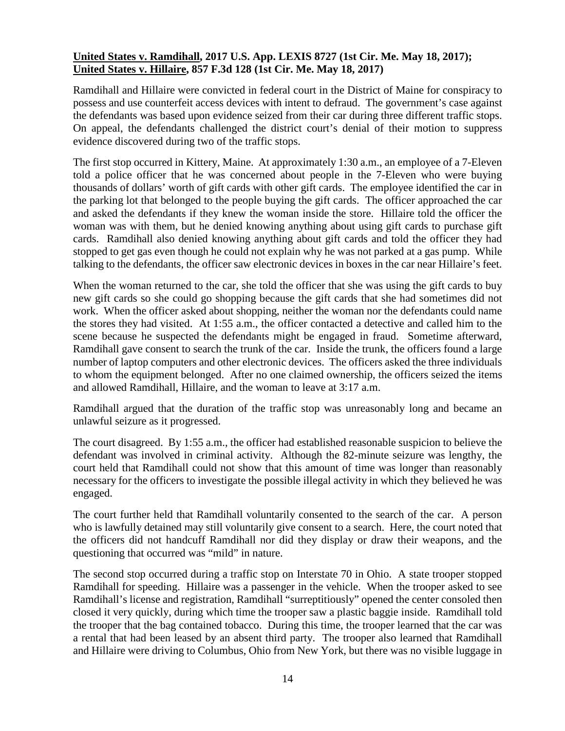#### <span id="page-13-0"></span>**United States v. Ramdihall, 2017 U.S. App. LEXIS 8727 (1st Cir. Me. May 18, 2017); United States v. Hillaire, 857 F.3d 128 (1st Cir. Me. May 18, 2017)**

Ramdihall and Hillaire were convicted in federal court in the District of Maine for conspiracy to possess and use counterfeit access devices with intent to defraud. The government's case against the defendants was based upon evidence seized from their car during three different traffic stops. On appeal, the defendants challenged the district court's denial of their motion to suppress evidence discovered during two of the traffic stops.

The first stop occurred in Kittery, Maine. At approximately 1:30 a.m., an employee of a 7-Eleven told a police officer that he was concerned about people in the 7-Eleven who were buying thousands of dollars' worth of gift cards with other gift cards. The employee identified the car in the parking lot that belonged to the people buying the gift cards. The officer approached the car and asked the defendants if they knew the woman inside the store. Hillaire told the officer the woman was with them, but he denied knowing anything about using gift cards to purchase gift cards. Ramdihall also denied knowing anything about gift cards and told the officer they had stopped to get gas even though he could not explain why he was not parked at a gas pump. While talking to the defendants, the officer saw electronic devices in boxes in the car near Hillaire's feet.

When the woman returned to the car, she told the officer that she was using the gift cards to buy new gift cards so she could go shopping because the gift cards that she had sometimes did not work. When the officer asked about shopping, neither the woman nor the defendants could name the stores they had visited. At 1:55 a.m., the officer contacted a detective and called him to the scene because he suspected the defendants might be engaged in fraud. Sometime afterward, Ramdihall gave consent to search the trunk of the car. Inside the trunk, the officers found a large number of laptop computers and other electronic devices. The officers asked the three individuals to whom the equipment belonged. After no one claimed ownership, the officers seized the items and allowed Ramdihall, Hillaire, and the woman to leave at 3:17 a.m.

Ramdihall argued that the duration of the traffic stop was unreasonably long and became an unlawful seizure as it progressed.

The court disagreed. By 1:55 a.m., the officer had established reasonable suspicion to believe the defendant was involved in criminal activity. Although the 82-minute seizure was lengthy, the court held that Ramdihall could not show that this amount of time was longer than reasonably necessary for the officers to investigate the possible illegal activity in which they believed he was engaged.

The court further held that Ramdihall voluntarily consented to the search of the car. A person who is lawfully detained may still voluntarily give consent to a search. Here, the court noted that the officers did not handcuff Ramdihall nor did they display or draw their weapons, and the questioning that occurred was "mild" in nature.

The second stop occurred during a traffic stop on Interstate 70 in Ohio. A state trooper stopped Ramdihall for speeding. Hillaire was a passenger in the vehicle. When the trooper asked to see Ramdihall's license and registration, Ramdihall "surreptitiously" opened the center consoled then closed it very quickly, during which time the trooper saw a plastic baggie inside. Ramdihall told the trooper that the bag contained tobacco. During this time, the trooper learned that the car was a rental that had been leased by an absent third party. The trooper also learned that Ramdihall and Hillaire were driving to Columbus, Ohio from New York, but there was no visible luggage in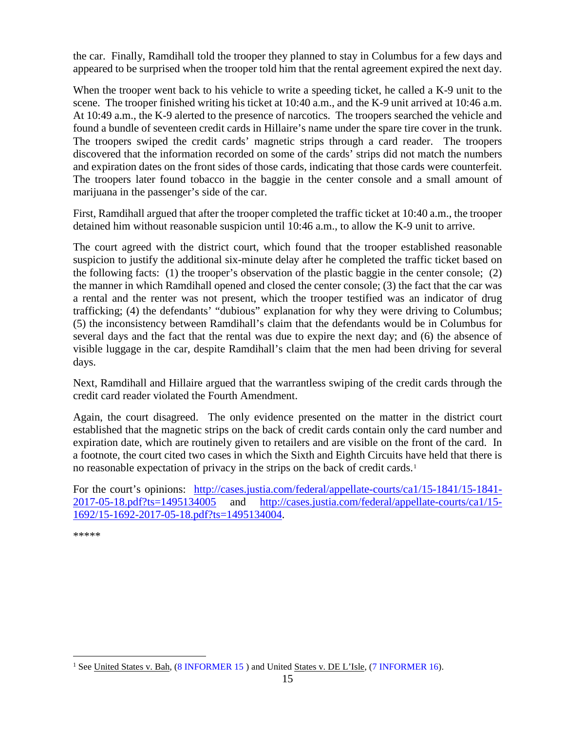the car. Finally, Ramdihall told the trooper they planned to stay in Columbus for a few days and appeared to be surprised when the trooper told him that the rental agreement expired the next day.

When the trooper went back to his vehicle to write a speeding ticket, he called a K-9 unit to the scene. The trooper finished writing his ticket at 10:40 a.m., and the K-9 unit arrived at 10:46 a.m. At 10:49 a.m., the K-9 alerted to the presence of narcotics. The troopers searched the vehicle and found a bundle of seventeen credit cards in Hillaire's name under the spare tire cover in the trunk. The troopers swiped the credit cards' magnetic strips through a card reader. The troopers discovered that the information recorded on some of the cards' strips did not match the numbers and expiration dates on the front sides of those cards, indicating that those cards were counterfeit. The troopers later found tobacco in the baggie in the center console and a small amount of marijuana in the passenger's side of the car.

First, Ramdihall argued that after the trooper completed the traffic ticket at 10:40 a.m., the trooper detained him without reasonable suspicion until 10:46 a.m., to allow the K-9 unit to arrive.

The court agreed with the district court, which found that the trooper established reasonable suspicion to justify the additional six-minute delay after he completed the traffic ticket based on the following facts: (1) the trooper's observation of the plastic baggie in the center console; (2) the manner in which Ramdihall opened and closed the center console; (3) the fact that the car was a rental and the renter was not present, which the trooper testified was an indicator of drug trafficking; (4) the defendants' "dubious" explanation for why they were driving to Columbus; (5) the inconsistency between Ramdihall's claim that the defendants would be in Columbus for several days and the fact that the rental was due to expire the next day; and (6) the absence of visible luggage in the car, despite Ramdihall's claim that the men had been driving for several days.

Next, Ramdihall and Hillaire argued that the warrantless swiping of the credit cards through the credit card reader violated the Fourth Amendment.

Again, the court disagreed. The only evidence presented on the matter in the district court established that the magnetic strips on the back of credit cards contain only the card number and expiration date, which are routinely given to retailers and are visible on the front of the card. In a footnote, the court cited two cases in which the Sixth and Eighth Circuits have held that there is no reasonable expectation of privacy in the strips on the back of credit cards.<sup>[1](#page-14-0)</sup>

For the court's opinions: [http://cases.justia.com/federal/appellate-courts/ca1/15-1841/15-1841-](http://cases.justia.com/federal/appellate-courts/ca1/15-1841/15-1841-2017-05-18.pdf?ts=1495134005) [2017-05-18.pdf?ts=1495134005](http://cases.justia.com/federal/appellate-courts/ca1/15-1841/15-1841-2017-05-18.pdf?ts=1495134005) and [http://cases.justia.com/federal/appellate-courts/ca1/15-](http://cases.justia.com/federal/appellate-courts/ca1/15-1692/15-1692-2017-05-18.pdf?ts=1495134004) [1692/15-1692-2017-05-18.pdf?ts=1495134004.](http://cases.justia.com/federal/appellate-courts/ca1/15-1692/15-1692-2017-05-18.pdf?ts=1495134004)

<span id="page-14-0"></span><sup>&</sup>lt;sup>1</sup> See United States v. Bah, [\(8 INFORMER 15](https://www.fletc.gov/sites/default/files/8Informer15_0.pdf) ) and United States v. DE L'Isle, [\(7 INFORMER 16\)](https://www.fletc.gov/sites/default/files/7Informer16.pdf).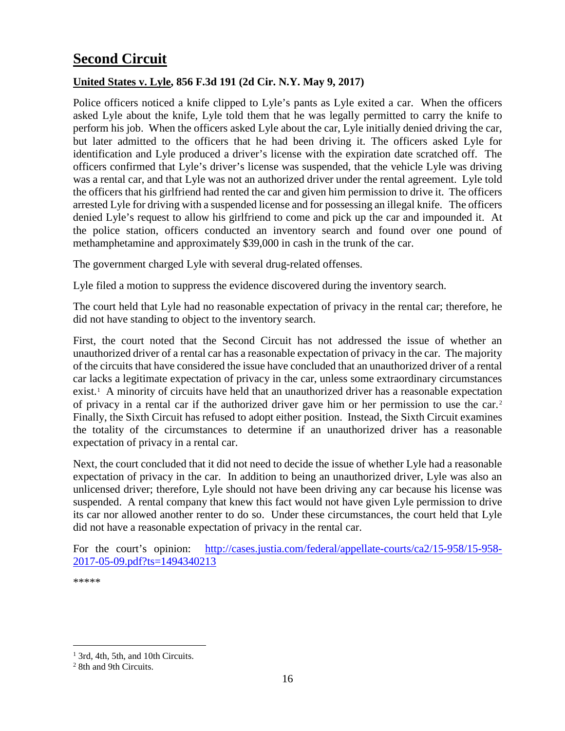# <span id="page-15-0"></span>**Second Circuit**

#### <span id="page-15-1"></span>**United States v. Lyle, 856 F.3d 191 (2d Cir. N.Y. May 9, 2017)**

Police officers noticed a knife clipped to Lyle's pants as Lyle exited a car. When the officers asked Lyle about the knife, Lyle told them that he was legally permitted to carry the knife to perform his job. When the officers asked Lyle about the car, Lyle initially denied driving the car, but later admitted to the officers that he had been driving it. The officers asked Lyle for identification and Lyle produced a driver's license with the expiration date scratched off. The officers confirmed that Lyle's driver's license was suspended, that the vehicle Lyle was driving was a rental car, and that Lyle was not an authorized driver under the rental agreement. Lyle told the officers that his girlfriend had rented the car and given him permission to drive it. The officers arrested Lyle for driving with a suspended license and for possessing an illegal knife. The officers denied Lyle's request to allow his girlfriend to come and pick up the car and impounded it. At the police station, officers conducted an inventory search and found over one pound of methamphetamine and approximately \$39,000 in cash in the trunk of the car.

The government charged Lyle with several drug-related offenses.

Lyle filed a motion to suppress the evidence discovered during the inventory search.

The court held that Lyle had no reasonable expectation of privacy in the rental car; therefore, he did not have standing to object to the inventory search.

First, the court noted that the Second Circuit has not addressed the issue of whether an unauthorized driver of a rental car has a reasonable expectation of privacy in the car. The majority of the circuits that have considered the issue have concluded that an unauthorized driver of a rental car lacks a legitimate expectation of privacy in the car, unless some extraordinary circumstances exist.<sup>[1](#page-15-3)</sup> A minority of circuits have held that an unauthorized driver has a reasonable expectation of privacy in a rental car if the authorized driver gave him or her permission to use the car.[2](#page-15-4) Finally, the Sixth Circuit has refused to adopt either position. Instead, the Sixth Circuit examines the totality of the circumstances to determine if an unauthorized driver has a reasonable expectation of privacy in a rental car.

Next, the court concluded that it did not need to decide the issue of whether Lyle had a reasonable expectation of privacy in the car. In addition to being an unauthorized driver, Lyle was also an unlicensed driver; therefore, Lyle should not have been driving any car because his license was suspended. A rental company that knew this fact would not have given Lyle permission to drive its car nor allowed another renter to do so. Under these circumstances, the court held that Lyle did not have a reasonable expectation of privacy in the rental car.

For the court's opinion: [http://cases.justia.com/federal/appellate-courts/ca2/15-958/15-958-](http://cases.justia.com/federal/appellate-courts/ca2/15-958/15-958-2017-05-09.pdf?ts=1494340213) [2017-05-09.pdf?ts=1494340213](http://cases.justia.com/federal/appellate-courts/ca2/15-958/15-958-2017-05-09.pdf?ts=1494340213)

<span id="page-15-3"></span><span id="page-15-2"></span><sup>&</sup>lt;sup>1</sup> 3rd, 4th, 5th, and 10th Circuits.

<span id="page-15-4"></span><sup>2</sup> 8th and 9th Circuits.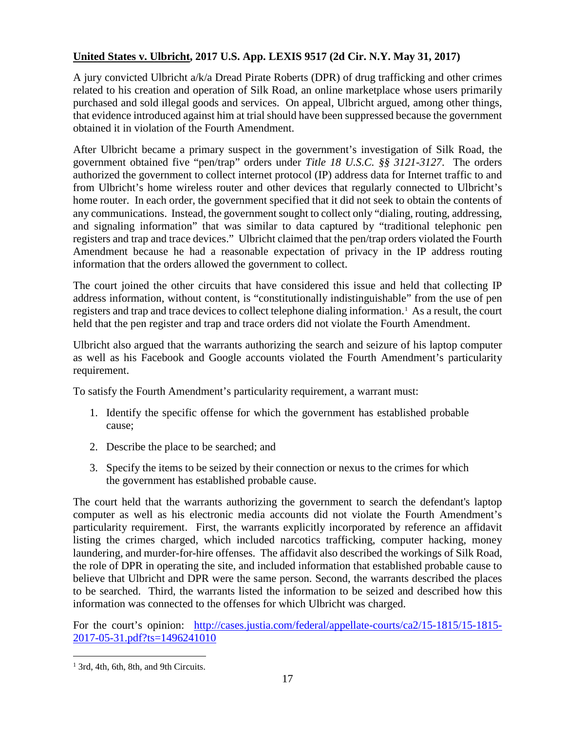#### **United States v. Ulbricht, 2017 U.S. App. LEXIS 9517 (2d Cir. N.Y. May 31, 2017)**

A jury convicted Ulbricht a/k/a Dread Pirate Roberts (DPR) of drug trafficking and other crimes related to his creation and operation of Silk Road, an online marketplace whose users primarily purchased and sold illegal goods and services. On appeal, Ulbricht argued, among other things, that evidence introduced against him at trial should have been suppressed because the government obtained it in violation of the Fourth Amendment.

After Ulbricht became a primary suspect in the government's investigation of Silk Road, the government obtained five "pen/trap" orders under *Title 18 U.S.C. §§ 3121-3127*. The orders authorized the government to collect internet protocol (IP) address data for Internet traffic to and from Ulbricht's home wireless router and other devices that regularly connected to Ulbricht's home router. In each order, the government specified that it did not seek to obtain the contents of any communications. Instead, the government sought to collect only "dialing, routing, addressing, and signaling information" that was similar to data captured by "traditional telephonic pen registers and trap and trace devices." Ulbricht claimed that the pen/trap orders violated the Fourth Amendment because he had a reasonable expectation of privacy in the IP address routing information that the orders allowed the government to collect.

The court joined the other circuits that have considered this issue and held that collecting IP address information, without content, is "constitutionally indistinguishable" from the use of pen registers and trap and trace devices to collect telephone dialing information.[1](#page-16-0) As a result, the court held that the pen register and trap and trace orders did not violate the Fourth Amendment.

Ulbricht also argued that the warrants authorizing the search and seizure of his laptop computer as well as his Facebook and Google accounts violated the Fourth Amendment's particularity requirement.

To satisfy the Fourth Amendment's particularity requirement, a warrant must:

- 1. Identify the specific offense for which the government has established probable cause;
- 2. Describe the place to be searched; and
- 3. Specify the items to be seized by their connection or nexus to the crimes for which the government has established probable cause.

The court held that the warrants authorizing the government to search the defendant's laptop computer as well as his electronic media accounts did not violate the [Fourth Amendment's](https://www.lexis.com/research/buttonTFLink?_m=e95d67a7ea92c28365dce208ea9cfe6d&_xfercite=%3ccite%20cc%3d%22USA%22%3e%3c%21%5bCDATA%5b2017%20U.S.%20App.%20LEXIS%209517%5d%5d%3e%3c%2fcite%3e&_butType=4&_butStat=0&_butNum=7&_butInline=1&_butinfo=U.S.%20CONST.%20AMEND.%204&_fmtstr=FULL&docnum=1&_startdoc=1&wchp=dGLbVzB-zSkAl&_md5=1e5e0b8a0419223159b7e3538f46c445) particularity requirement. First, the warrants explicitly incorporated by reference an affidavit listing the crimes charged, which included narcotics trafficking, computer hacking, money laundering, and murder-for-hire offenses. The affidavit also described the workings of Silk Road, the role of DPR in operating the site, and included information that established probable cause to believe that Ulbricht and DPR were the same person. Second, the warrants described the places to be searched. Third, the warrants listed the information to be seized and described how this information was connected to the offenses for which Ulbricht was charged.

For the court's opinion: [http://cases.justia.com/federal/appellate-courts/ca2/15-1815/15-1815-](http://cases.justia.com/federal/appellate-courts/ca2/15-1815/15-1815-2017-05-31.pdf?ts=1496241010) [2017-05-31.pdf?ts=1496241010](http://cases.justia.com/federal/appellate-courts/ca2/15-1815/15-1815-2017-05-31.pdf?ts=1496241010)

<span id="page-16-0"></span><sup>&</sup>lt;sup>1</sup> 3rd, 4th, 6th, 8th, and 9th Circuits.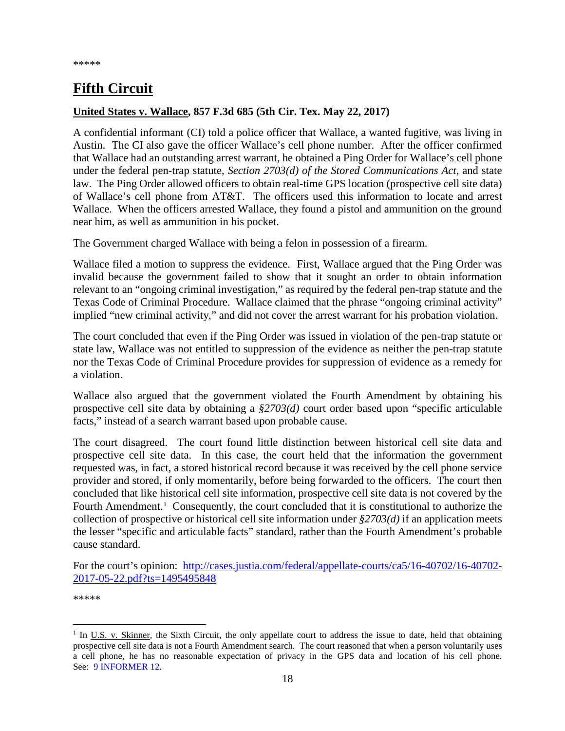# <span id="page-17-0"></span>**Fifth Circuit**

#### <span id="page-17-1"></span>**United States v. Wallace, 857 F.3d 685 (5th Cir. Tex. May 22, 2017)**

A confidential informant (CI) told a police officer that Wallace, a wanted fugitive, was living in Austin. The CI also gave the officer Wallace's cell phone number. After the officer confirmed that Wallace had an outstanding arrest warrant, he obtained a Ping Order for Wallace's cell phone under the federal pen-trap statute, *Section 2703(d) of the Stored Communications Act*, and state law. The Ping Order allowed officers to obtain real-time GPS location (prospective cell site data) of Wallace's cell phone from AT&T. The officers used this information to locate and arrest Wallace. When the officers arrested Wallace, they found a pistol and ammunition on the ground near him, as well as ammunition in his pocket.

The Government charged Wallace with being a felon in possession of a firearm.

Wallace filed a motion to suppress the evidence. First, Wallace argued that the Ping Order was invalid because the government failed to show that it sought an order to obtain information relevant to an "ongoing criminal investigation," as required by the federal pen-trap statute and the Texas Code of Criminal Procedure. Wallace claimed that the phrase "ongoing criminal activity" implied "new criminal activity," and did not cover the arrest warrant for his probation violation.

The court concluded that even if the Ping Order was issued in violation of the pen-trap statute or state law, Wallace was not entitled to suppression of the evidence as neither the pen-trap statute nor the Texas Code of Criminal Procedure provides for suppression of evidence as a remedy for a violation.

Wallace also argued that the government violated the Fourth Amendment by obtaining his prospective cell site data by obtaining a *§2703(d)* court order based upon "specific articulable facts," instead of a search warrant based upon probable cause.

The court disagreed. The court found little distinction between historical cell site data and prospective cell site data. In this case, the court held that the information the government requested was, in fact, a stored historical record because it was received by the cell phone service provider and stored, if only momentarily, before being forwarded to the officers. The court then concluded that like historical cell site information, prospective cell site data is not covered by the Fourth Amendment.<sup>[1](#page-17-2)</sup> Consequently, the court concluded that it is constitutional to authorize the collection of prospective or historical cell site information under *§2703(d)* if an application meets the lesser "specific and articulable facts" standard, rather than the Fourth Amendment's probable cause standard.

For the court's opinion: [http://cases.justia.com/federal/appellate-courts/ca5/16-40702/16-40702-](http://cases.justia.com/federal/appellate-courts/ca5/16-40702/16-40702-2017-05-22.pdf?ts=1495495848) [2017-05-22.pdf?ts=1495495848](http://cases.justia.com/federal/appellate-courts/ca5/16-40702/16-40702-2017-05-22.pdf?ts=1495495848)

<span id="page-17-2"></span><sup>&</sup>lt;sup>1</sup> In <u>U.S. v. Skinner</u>, the Sixth Circuit, the only appellate court to address the issue to date, held that obtaining prospective cell site data is not a Fourth Amendment search. The court reasoned that when a person voluntarily uses a cell phone, he has no reasonable expectation of privacy in the GPS data and location of his cell phone. See: [9 INFORMER 12.](https://www.fletc.gov/sites/default/files/imported_files/training/programs/legal-division/the-informer/informer-editions-2012/9Informer12.pdf)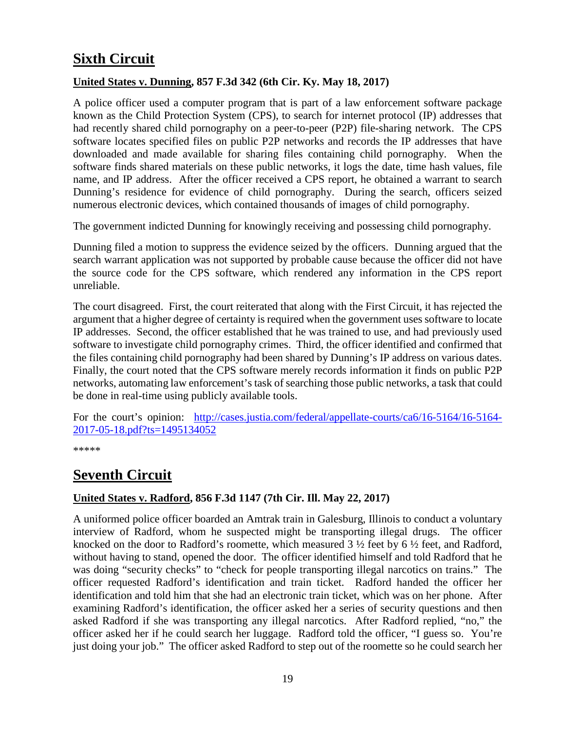# <span id="page-18-0"></span>**Sixth Circuit**

#### <span id="page-18-1"></span>**United States v. Dunning, 857 F.3d 342 (6th Cir. Ky. May 18, 2017)**

A police officer used a computer program that is part of a law enforcement software package known as the Child Protection System (CPS), to search for internet protocol (IP) addresses that had recently shared child pornography on a peer-to-peer (P2P) file-sharing network. The CPS software locates specified files on public P2P networks and records the IP addresses that have downloaded and made available for sharing files containing child pornography. When the software finds shared materials on these public networks, it logs the date, time hash values, file name, and IP address. After the officer received a CPS report, he obtained a warrant to search Dunning's residence for evidence of child pornography. During the search, officers seized numerous electronic devices, which contained thousands of images of child pornography.

The government indicted Dunning for knowingly receiving and possessing child pornography.

Dunning filed a motion to suppress the evidence seized by the officers. Dunning argued that the search warrant application was not supported by probable cause because the officer did not have the source code for the CPS software, which rendered any information in the CPS report unreliable.

The court disagreed. First, the court reiterated that along with the First Circuit, it has rejected the argument that a higher degree of certainty is required when the government uses software to locate IP addresses. Second, the officer established that he was trained to use, and had previously used software to investigate child pornography crimes. Third, the officer identified and confirmed that the files containing child pornography had been shared by Dunning's IP address on various dates. Finally, the court noted that the CPS software merely records information it finds on public P2P networks, automating law enforcement's task of searching those public networks, a task that could be done in real-time using publicly available tools.

For the court's opinion: [http://cases.justia.com/federal/appellate-courts/ca6/16-5164/16-5164-](http://cases.justia.com/federal/appellate-courts/ca6/16-5164/16-5164-2017-05-18.pdf?ts=1495134052) [2017-05-18.pdf?ts=1495134052](http://cases.justia.com/federal/appellate-courts/ca6/16-5164/16-5164-2017-05-18.pdf?ts=1495134052)

\*\*\*\*\*

## <span id="page-18-2"></span>**Seventh Circuit**

#### <span id="page-18-3"></span>**United States v. Radford, 856 F.3d 1147 (7th Cir. Ill. May 22, 2017)**

A uniformed police officer boarded an Amtrak train in Galesburg, Illinois to conduct a voluntary interview of Radford, whom he suspected might be transporting illegal drugs. The officer knocked on the door to Radford's roomette, which measured 3 ½ feet by 6 ½ feet, and Radford, without having to stand, opened the door. The officer identified himself and told Radford that he was doing "security checks" to "check for people transporting illegal narcotics on trains." The officer requested Radford's identification and train ticket. Radford handed the officer her identification and told him that she had an electronic train ticket, which was on her phone. After examining Radford's identification, the officer asked her a series of security questions and then asked Radford if she was transporting any illegal narcotics. After Radford replied, "no," the officer asked her if he could search her luggage. Radford told the officer, "I guess so. You're just doing your job." The officer asked Radford to step out of the roomette so he could search her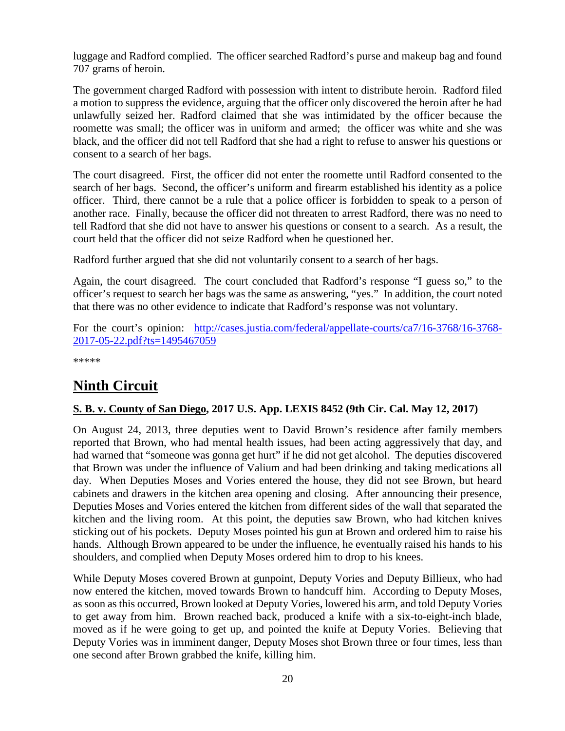luggage and Radford complied. The officer searched Radford's purse and makeup bag and found 707 grams of heroin.

The government charged Radford with possession with intent to distribute heroin. Radford filed a motion to suppress the evidence, arguing that the officer only discovered the heroin after he had unlawfully seized her. Radford claimed that she was intimidated by the officer because the roomette was small; the officer was in uniform and armed; the officer was white and she was black, and the officer did not tell Radford that she had a right to refuse to answer his questions or consent to a search of her bags.

The court disagreed. First, the officer did not enter the roomette until Radford consented to the search of her bags. Second, the officer's uniform and firearm established his identity as a police officer. Third, there cannot be a rule that a police officer is forbidden to speak to a person of another race. Finally, because the officer did not threaten to arrest Radford, there was no need to tell Radford that she did not have to answer his questions or consent to a search. As a result, the court held that the officer did not seize Radford when he questioned her.

Radford further argued that she did not voluntarily consent to a search of her bags.

Again, the court disagreed. The court concluded that Radford's response "I guess so," to the officer's request to search her bags was the same as answering, "yes." In addition, the court noted that there was no other evidence to indicate that Radford's response was not voluntary.

For the court's opinion: [http://cases.justia.com/federal/appellate-courts/ca7/16-3768/16-3768-](http://cases.justia.com/federal/appellate-courts/ca7/16-3768/16-3768-2017-05-22.pdf?ts=1495467059) [2017-05-22.pdf?ts=1495467059](http://cases.justia.com/federal/appellate-courts/ca7/16-3768/16-3768-2017-05-22.pdf?ts=1495467059)

\*\*\*\*\*

# <span id="page-19-0"></span>**Ninth Circuit**

#### <span id="page-19-1"></span>**S. B. v. County of San Diego, 2017 U.S. App. LEXIS 8452 (9th Cir. Cal. May 12, 2017)**

On August 24, 2013, three deputies went to David Brown's residence after family members reported that Brown, who had mental health issues, had been acting aggressively that day, and had warned that "someone was gonna get hurt" if he did not get alcohol. The deputies discovered that Brown was under the influence of Valium and had been drinking and taking medications all day. When Deputies Moses and Vories entered the house, they did not see Brown, but heard cabinets and drawers in the kitchen area opening and closing. After announcing their presence, Deputies Moses and Vories entered the kitchen from different sides of the wall that separated the kitchen and the living room. At this point, the deputies saw Brown, who had kitchen knives sticking out of his pockets. Deputy Moses pointed his gun at Brown and ordered him to raise his hands. Although Brown appeared to be under the influence, he eventually raised his hands to his shoulders, and complied when Deputy Moses ordered him to drop to his knees.

While Deputy Moses covered Brown at gunpoint, Deputy Vories and Deputy Billieux, who had now entered the kitchen, moved towards Brown to handcuff him. According to Deputy Moses, as soon as this occurred, Brown looked at Deputy Vories, lowered his arm, and told Deputy Vories to get away from him. Brown reached back, produced a knife with a six-to-eight-inch blade, moved as if he were going to get up, and pointed the knife at Deputy Vories. Believing that Deputy Vories was in imminent danger, Deputy Moses shot Brown three or four times, less than one second after Brown grabbed the knife, killing him.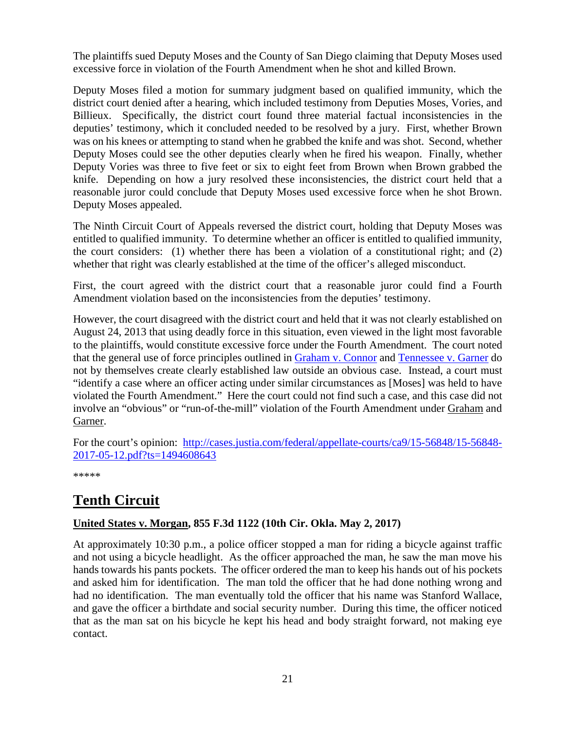The plaintiffs sued Deputy Moses and the County of San Diego claiming that Deputy Moses used excessive force in violation of the Fourth Amendment when he shot and killed Brown.

Deputy Moses filed a motion for summary judgment based on qualified immunity, which the district court denied after a hearing, which included testimony from Deputies Moses, Vories, and Billieux. Specifically, the district court found three material factual inconsistencies in the deputies' testimony, which it concluded needed to be resolved by a jury. First, whether Brown was on his knees or attempting to stand when he grabbed the knife and was shot. Second, whether Deputy Moses could see the other deputies clearly when he fired his weapon. Finally, whether Deputy Vories was three to five feet or six to eight feet from Brown when Brown grabbed the knife. Depending on how a jury resolved these inconsistencies, the district court held that a reasonable juror could conclude that Deputy Moses used excessive force when he shot Brown. Deputy Moses appealed.

The Ninth Circuit Court of Appeals reversed the district court, holding that Deputy Moses was entitled to qualified immunity. To determine whether an officer is entitled to qualified immunity, the court considers: (1) whether there has been a violation of a constitutional right; and (2) whether that right was clearly established at the time of the officer's alleged misconduct.

First, the court agreed with the district court that a reasonable juror could find a Fourth Amendment violation based on the inconsistencies from the deputies' testimony.

However, the court disagreed with the district court and held that it was not clearly established on August 24, 2013 that using deadly force in this situation, even viewed in the light most favorable to the plaintiffs, would constitute excessive force under the Fourth Amendment. The court noted that the general use of force principles outlined in [Graham v. Connor](https://supreme.justia.com/cases/federal/us/490/386/case.html) and [Tennessee v. Garner](https://supreme.justia.com/cases/federal/us/471/1/case.html) do not by themselves create clearly established law outside an obvious case. Instead, a court must "identify a case where an officer acting under similar circumstances as [Moses] was held to have violated the Fourth Amendment." Here the court could not find such a case, and this case did not involve an "obvious" or "run-of-the-mill" violation of the Fourth Amendment under Graham and Garner.

For the court's opinion: [http://cases.justia.com/federal/appellate-courts/ca9/15-56848/15-56848-](http://cases.justia.com/federal/appellate-courts/ca9/15-56848/15-56848-2017-05-12.pdf?ts=1494608643) [2017-05-12.pdf?ts=1494608643](http://cases.justia.com/federal/appellate-courts/ca9/15-56848/15-56848-2017-05-12.pdf?ts=1494608643)

\*\*\*\*\*

# **Tenth Circuit**

#### <span id="page-20-0"></span>**United States v. Morgan, 855 F.3d 1122 (10th Cir. Okla. May 2, 2017)**

At approximately 10:30 p.m., a police officer stopped a man for riding a bicycle against traffic and not using a bicycle headlight. As the officer approached the man, he saw the man move his hands towards his pants pockets. The officer ordered the man to keep his hands out of his pockets and asked him for identification. The man told the officer that he had done nothing wrong and had no identification. The man eventually told the officer that his name was Stanford Wallace, and gave the officer a birthdate and social security number. During this time, the officer noticed that as the man sat on his bicycle he kept his head and body straight forward, not making eye contact.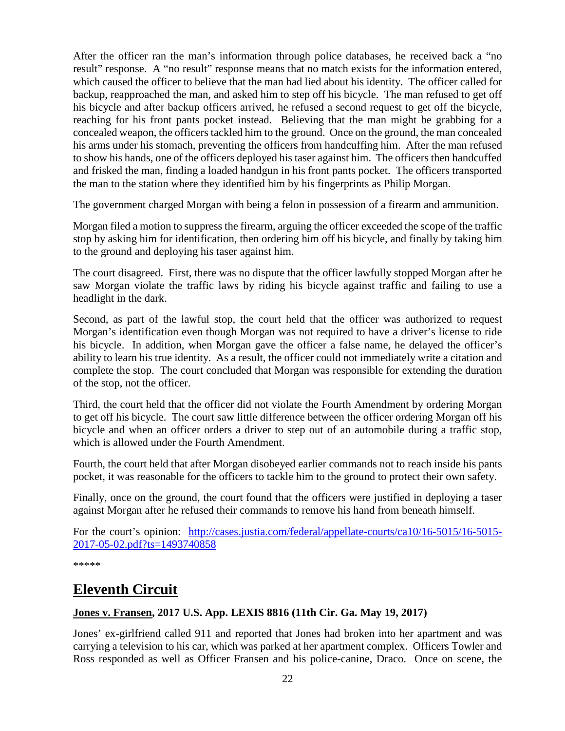After the officer ran the man's information through police databases, he received back a "no result" response. A "no result" response means that no match exists for the information entered, which caused the officer to believe that the man had lied about his identity. The officer called for backup, reapproached the man, and asked him to step off his bicycle. The man refused to get off his bicycle and after backup officers arrived, he refused a second request to get off the bicycle, reaching for his front pants pocket instead. Believing that the man might be grabbing for a concealed weapon, the officers tackled him to the ground. Once on the ground, the man concealed his arms under his stomach, preventing the officers from handcuffing him. After the man refused to show his hands, one of the officers deployed his taser against him. The officers then handcuffed and frisked the man, finding a loaded handgun in his front pants pocket. The officers transported the man to the station where they identified him by his fingerprints as Philip Morgan.

The government charged Morgan with being a felon in possession of a firearm and ammunition.

Morgan filed a motion to suppress the firearm, arguing the officer exceeded the scope of the traffic stop by asking him for identification, then ordering him off his bicycle, and finally by taking him to the ground and deploying his taser against him.

The court disagreed. First, there was no dispute that the officer lawfully stopped Morgan after he saw Morgan violate the traffic laws by riding his bicycle against traffic and failing to use a headlight in the dark.

Second, as part of the lawful stop, the court held that the officer was authorized to request Morgan's identification even though Morgan was not required to have a driver's license to ride his bicycle. In addition, when Morgan gave the officer a false name, he delayed the officer's ability to learn his true identity. As a result, the officer could not immediately write a citation and complete the stop. The court concluded that Morgan was responsible for extending the duration of the stop, not the officer.

Third, the court held that the officer did not violate the Fourth Amendment by ordering Morgan to get off his bicycle. The court saw little difference between the officer ordering Morgan off his bicycle and when an officer orders a driver to step out of an automobile during a traffic stop, which is allowed under the Fourth Amendment.

Fourth, the court held that after Morgan disobeyed earlier commands not to reach inside his pants pocket, it was reasonable for the officers to tackle him to the ground to protect their own safety.

Finally, once on the ground, the court found that the officers were justified in deploying a taser against Morgan after he refused their commands to remove his hand from beneath himself.

For the court's opinion: [http://cases.justia.com/federal/appellate-courts/ca10/16-5015/16-5015-](http://cases.justia.com/federal/appellate-courts/ca10/16-5015/16-5015-2017-05-02.pdf?ts=1493740858) [2017-05-02.pdf?ts=1493740858](http://cases.justia.com/federal/appellate-courts/ca10/16-5015/16-5015-2017-05-02.pdf?ts=1493740858)

\*\*\*\*\*

### <span id="page-21-0"></span>**Eleventh Circuit**

#### <span id="page-21-1"></span>**Jones v. Fransen, 2017 U.S. App. LEXIS 8816 (11th Cir. Ga. May 19, 2017)**

Jones' ex-girlfriend called 911 and reported that Jones had broken into her apartment and was carrying a television to his car, which was parked at her apartment complex. Officers Towler and Ross responded as well as Officer Fransen and his police-canine, Draco. Once on scene, the